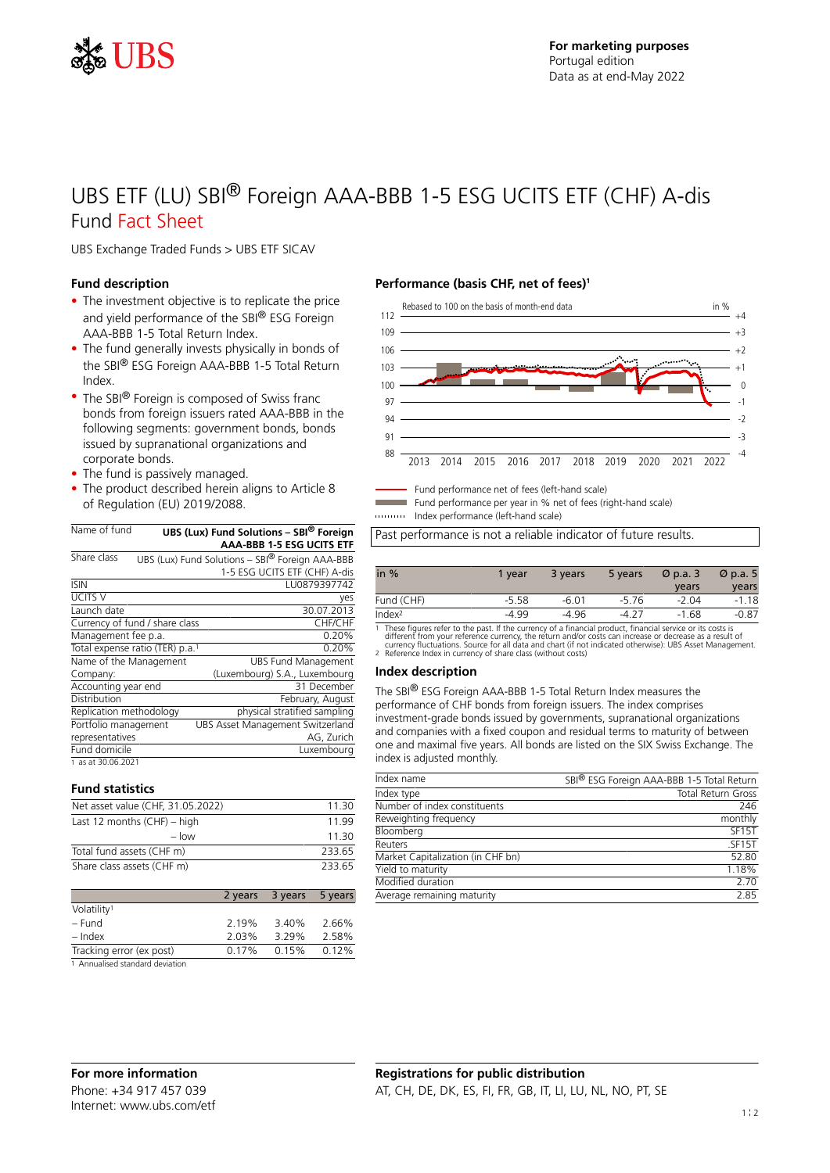

# UBS ETF (LU) SBI® Foreign AAA-BBB 1-5 ESG UCITS ETF (CHF) A-dis Fund Fact Sheet

UBS Exchange Traded Funds > UBS ETF SICAV

# **Fund description**

- The investment objective is to replicate the price and yield performance of the SBI® ESG Foreign AAA-BBB 1-5 Total Return Index.
- The fund generally invests physically in bonds of the SBI® ESG Foreign AAA-BBB 1-5 Total Return Index.
- The SBI<sup>®</sup> Foreign is composed of Swiss franc bonds from foreign issuers rated AAA-BBB in the following segments: government bonds, bonds issued by supranational organizations and corporate bonds.
- The fund is passively managed.
- The product described herein aligns to Article 8 of Regulation (EU) 2019/2088.

| Name of fund                                |  | UBS (Lux) Fund Solutions - SBI <sup>®</sup> Foreign<br><b>AAA-BBB 1-5 ESG UCITS ETF</b> |
|---------------------------------------------|--|-----------------------------------------------------------------------------------------|
|                                             |  |                                                                                         |
| Share class                                 |  | UBS (Lux) Fund Solutions - SBI® Foreign AAA-BBB                                         |
|                                             |  | 1-5 ESG UCITS ETF (CHF) A-dis                                                           |
| <b>ISIN</b>                                 |  | LU0879397742                                                                            |
| <b>UCITS V</b>                              |  | yes                                                                                     |
| Launch date                                 |  | 30.07.2013                                                                              |
| Currency of fund / share class              |  | CHF/CHF                                                                                 |
| Management fee p.a.                         |  | 0.20%                                                                                   |
| Total expense ratio (TER) p.a. <sup>1</sup> |  | 0.20%                                                                                   |
| Name of the Management                      |  | <b>UBS Fund Management</b>                                                              |
| Company:                                    |  | (Luxembourg) S.A., Luxembourg                                                           |
| Accounting year end                         |  | 31 December                                                                             |
| Distribution                                |  | February, August                                                                        |
| Replication methodology                     |  | physical stratified sampling                                                            |
| Portfolio management                        |  | UBS Asset Management Switzerland                                                        |
| representatives                             |  | AG, Zurich                                                                              |
| Fund domicile                               |  | Luxembourg                                                                              |
| 1 as at 30.06.2021                          |  |                                                                                         |

#### **Fund statistics**

| Net asset value (CHF, 31.05.2022) | 11.30  |
|-----------------------------------|--------|
| Last 12 months $(CHF) - high$     | 11 99  |
| $-$ low                           | 11.30  |
| Total fund assets (CHF m)         | 233.65 |
| Share class assets (CHF m)        | 233.65 |

|                                  |       | 2 years 3 years 5 years |       |
|----------------------------------|-------|-------------------------|-------|
| Volatility <sup>1</sup>          |       |                         |       |
| – Fund                           | 2.19% | 3.40%                   | 2.66% |
| – Index                          | 2.03% | 3.29%                   | 2.58% |
| Tracking error (ex post)         | 0.17% | 0.15%                   | 0.12% |
| 1. Annualicad standard doviation |       |                         |       |

1 Annualised standard deviation

## **Performance (basis CHF, net of fees)<sup>1</sup>**



Fund performance net of fees (left-hand scale)

Fund performance per year in % net of fees (right-hand scale) Index performance (left-hand scale)

Past performance is not a reliable indicator of future results.

| in $%$                                                                                                              | 1 vear  | 3 years | 5 years | $\varnothing$ p.a. 3 | $\varnothing$ p.a. 5 |
|---------------------------------------------------------------------------------------------------------------------|---------|---------|---------|----------------------|----------------------|
|                                                                                                                     |         |         |         | years                | years                |
| Fund (CHF)                                                                                                          | $-5.58$ | $-6.01$ | $-5.76$ | $-2.04$              | $-1.18$              |
| Index <sup>2</sup>                                                                                                  | -4 99   | -4 96   | -4 27   | $-1.68$              | $-0.87$              |
| ia i This is Contrast and a said and an anti-section of a Contrast and an Contrast and an activities of the sector. |         |         |         |                      |                      |

1 These figures refer to the past. If the currency of a financial product, financial service or its costs is<br>different from your reference currency, the return and/or costs can increase or decrease as a result of<br>currency

## **Index description**

The SBI® ESG Foreign AAA-BBB 1-5 Total Return Index measures the performance of CHF bonds from foreign issuers. The index comprises investment-grade bonds issued by governments, supranational organizations and companies with a fixed coupon and residual terms to maturity of between one and maximal five years. All bonds are listed on the SIX Swiss Exchange. The index is adjusted monthly.

| Index name                        | SBI® ESG Foreign AAA-BBB 1-5 Total Return |
|-----------------------------------|-------------------------------------------|
| Index type                        | Total Return Gross                        |
| Number of index constituents      | 246                                       |
| Reweighting frequency             | monthly                                   |
| Bloomberg                         | SF <sub>15</sub> T                        |
| Reuters                           | SF15T                                     |
| Market Capitalization (in CHF bn) | 52.80                                     |
| Yield to maturity                 | 1.18%                                     |
| Modified duration                 | 2.70                                      |
| Average remaining maturity        | 2.85                                      |
|                                   |                                           |